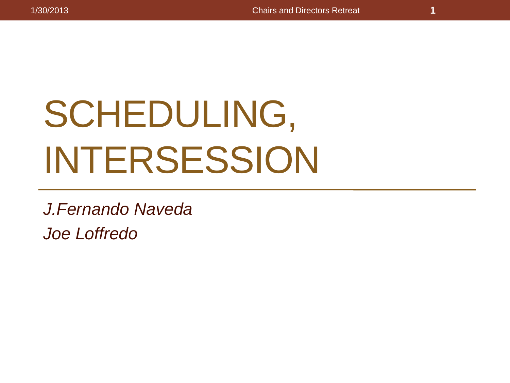# SCHEDULING, INTERSESSION

*J.Fernando Naveda Joe Loffredo*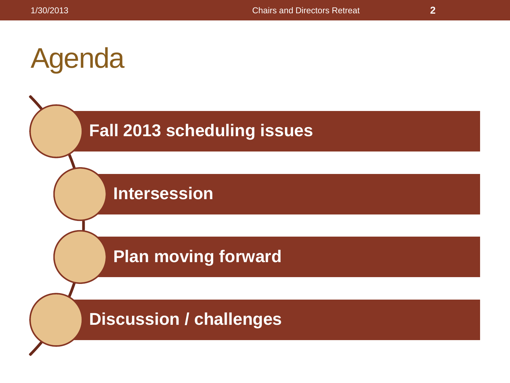### Agenda



**Intersession**

**Plan moving forward**

**Discussion / challenges**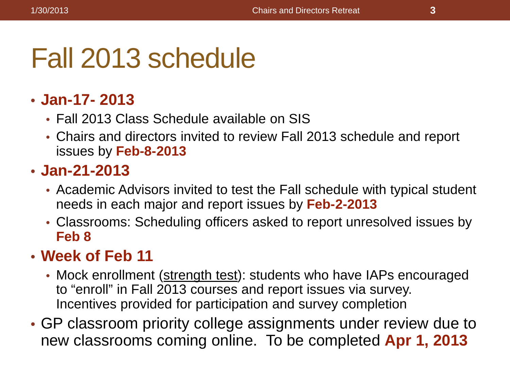### Fall 2013 schedule

### • **Jan-17- 2013**

- Fall 2013 Class Schedule available on SIS
- Chairs and directors invited to review Fall 2013 schedule and report issues by **Feb-8-2013**

### • **Jan-21-2013**

- Academic Advisors invited to test the Fall schedule with typical student needs in each major and report issues by **Feb-2-2013**
- Classrooms: Scheduling officers asked to report unresolved issues by **Feb 8**

### • **Week of Feb 11**

- Mock enrollment (strength test): students who have IAPs encouraged to "enroll" in Fall 2013 courses and report issues via survey. Incentives provided for participation and survey completion
- GP classroom priority college assignments under review due to new classrooms coming online. To be completed **Apr 1, 2013**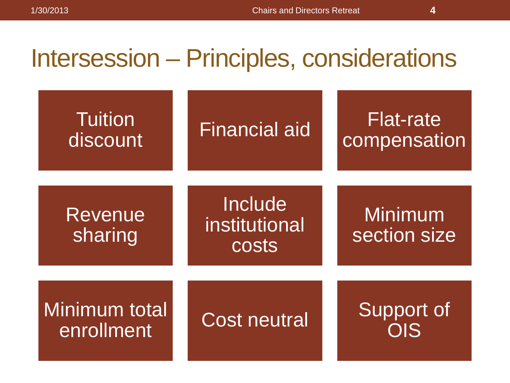### Intersession – Principles, considerations

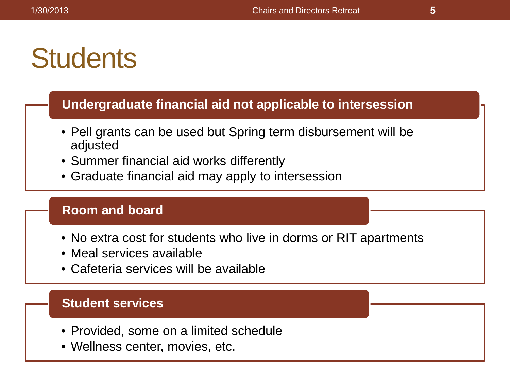### **Students**

#### **Undergraduate financial aid not applicable to intersession**

- Pell grants can be used but Spring term disbursement will be adjusted
- Summer financial aid works differently
- Graduate financial aid may apply to intersession

#### **Room and board**

- No extra cost for students who live in dorms or RIT apartments
- Meal services available
- Cafeteria services will be available

#### **Student services**

- Provided, some on a limited schedule
- Wellness center, movies, etc.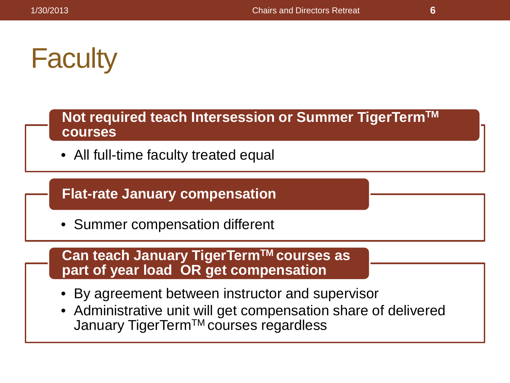## **Faculty**

**Not required teach Intersession or Summer TigerTermTM courses**

• All full-time faculty treated equal

### **Flat-rate January compensation**

• Summer compensation different

**Can teach January TigerTermTM courses as part of year load OR get compensation**

- By agreement between instructor and supervisor
- Administrative unit will get compensation share of delivered January TigerTermTM courses regardless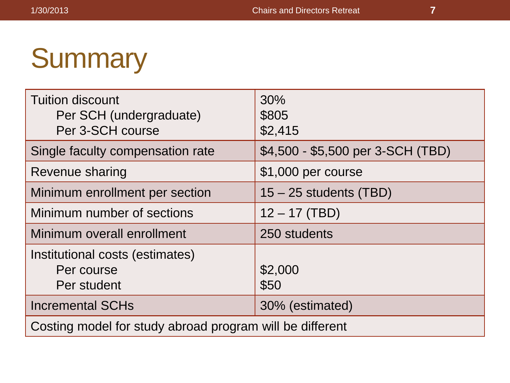### **Summary**

| <b>Tuition discount</b><br>Per SCH (undergraduate)<br>Per 3-SCH course | 30%<br>\$805<br>\$2,415           |  |
|------------------------------------------------------------------------|-----------------------------------|--|
| Single faculty compensation rate                                       | \$4,500 - \$5,500 per 3-SCH (TBD) |  |
| Revenue sharing                                                        | \$1,000 per course                |  |
| Minimum enrollment per section                                         | $15 - 25$ students (TBD)          |  |
| Minimum number of sections                                             | $12 - 17$ (TBD)                   |  |
| Minimum overall enrollment                                             | 250 students                      |  |
| Institutional costs (estimates)<br>Per course<br>Per student           | \$2,000<br>\$50                   |  |
| <b>Incremental SCHs</b>                                                | 30% (estimated)                   |  |
| Costing model for study abroad program will be different               |                                   |  |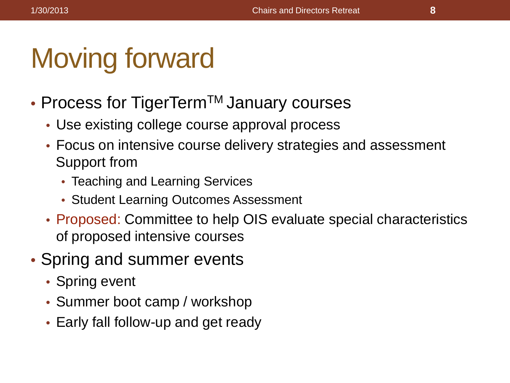## Moving forward

- Process for TigerTerm<sup>™</sup> January courses
	- Use existing college course approval process
	- Focus on intensive course delivery strategies and assessment Support from
		- Teaching and Learning Services
		- Student Learning Outcomes Assessment
	- Proposed: Committee to help OIS evaluate special characteristics of proposed intensive courses
- Spring and summer events
	- Spring event
	- Summer boot camp / workshop
	- Early fall follow-up and get ready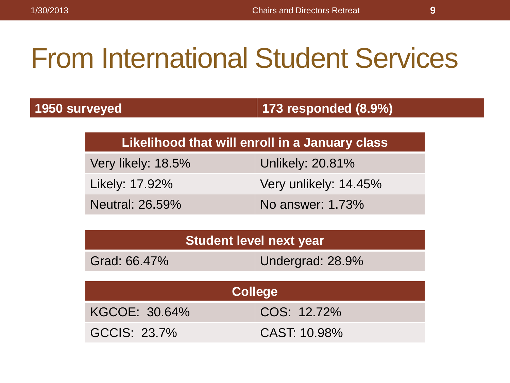## From International Student Services

| 1950 surveyed |
|---------------|
|               |

**1950 surveyed 173 responded (8.9%)**

#### **Likelihood that will enroll in a January class**

| Very likely: 18.5%     | Unlikely: 20.81%      |
|------------------------|-----------------------|
| Likely: 17.92%         | Very unlikely: 14.45% |
| <b>Neutral: 26.59%</b> | No answer: 1.73%      |

| Student level next year |                  |  |
|-------------------------|------------------|--|
| Grad: 66.47%            | Undergrad: 28.9% |  |
|                         |                  |  |

| <b>College</b> |              |  |
|----------------|--------------|--|
| KGCOE: 30.64%  | COS: 12.72%  |  |
| GCCIS: 23.7%   | CAST: 10.98% |  |